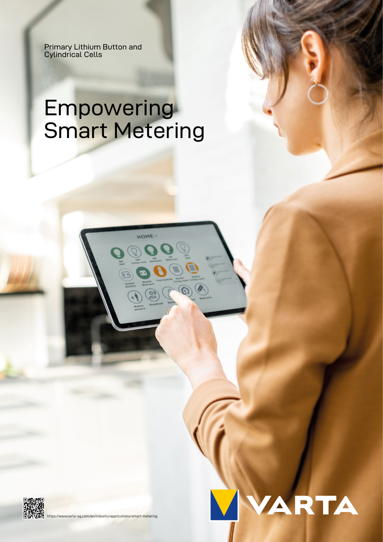Primary Lithium Button and Cylindrical Cells

# Empowering Smart Metering

**HOME** 

 $\mathcal{D}$ 





[https://www.varta-ag.com/en/industry/applications/smart-metering](https://www.varta-ag.com/iot)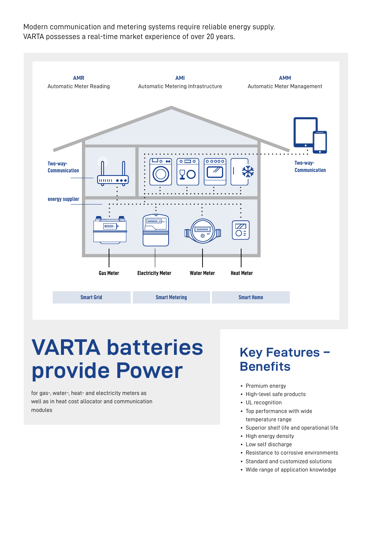Modern communication and metering systems require reliable energy supply. VARTA possesses a real-time market experience of over 20 years.



# **VARTA batteries provide Power**

for gas-, water-, heat- and electricity meters as well as in heat cost allocator and communication modules

### **Key Features – Benefits**

- Premium energy
- High-level safe products
- UL recognition
- Top performance with wide temperature range
- Superior shelf life and operational life
- High energy density
- Low self discharge
- Resistance to corrosive environments
- Standard and customized solutions
- Wide range of application knowledge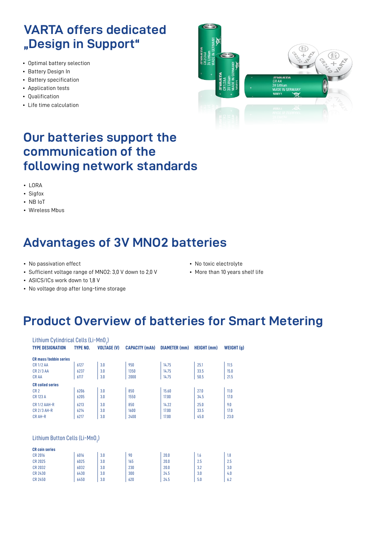### **VARTA offers dedicated "Design in Support"**

- Optimal battery selection
- Battery Design In
- Battery specification
- Application tests
- Qualification
- Life time calculation



### **Our batteries support the communication of the following network standards**

- LORA
- Sigfox
- NB IoT
- Wireless Mbus

### **Advantages of 3V MNO2 batteries**

- No passivation effect
- Sufficient voltage range of MNO2: 3,0 V down to 2,0 V
- No toxic electrolyte
- More than 10 years shelf life

- ASICS/ICs work down to 1,8 V
- No voltage drop after long-time storage

### **Product Overview of batteries for Smart Metering**

| Lithium Cylindrical Cells (Li-MnO <sub>2</sub> ) |          |                    |                       |                      |                    |            |
|--------------------------------------------------|----------|--------------------|-----------------------|----------------------|--------------------|------------|
| <b>TYPE DESIGNATION</b>                          | TYPE NO. | <b>VOLTAGE (V)</b> | <b>CAPACITY (mAh)</b> | <b>DIAMETER (mm)</b> | <b>HEIGHT</b> (mm) | WEIGHT (g) |
| <b>CR</b> mass/bobbin series                     |          |                    |                       |                      |                    |            |
| <b>CR1/2 AA</b>                                  | 6127     | 3.0                | 950                   | 14.75                | 25.1               | 11.5       |
| <b>CR 2/3 AA</b>                                 | 6237     | 3.0                | 1350                  | 14.75                | 33.5               | 15.0       |
| <b>CRAA</b>                                      | 6117     | 3.0                | 2000                  | 14.75                | 50.5               | 21.5       |
| <b>CR</b> coiled series                          |          |                    |                       |                      |                    |            |
| CR <sub>2</sub>                                  | 6206     | 3.0                | 850                   | 15.60                | 27.0               | 11.0       |
| <b>CR 123 A</b>                                  | 6205     | 3.0                | 1550                  | 17.00                | 34.5               | 17.0       |
| CR1/2 AAH-R                                      | 6213     | 3.0                | 850                   | 14.22                | 25.0               | 9.0        |
| <b>CR 2/3 AH-R</b>                               | 6214     | 3.0                | 1600                  | 17.00                | 33.5               | 17.0       |
| <b>CRAH-R</b>                                    | 6217     | 3.0                | 2400                  | 17.00                | 45.0               | 23.0       |
|                                                  |          |                    |                       |                      |                    |            |
|                                                  |          |                    |                       |                      |                    |            |
| Lithium Button Cells (Li-MnO <sub>2</sub> )      |          |                    |                       |                      |                    |            |
| <b>CR</b> coin series                            |          |                    |                       |                      |                    |            |
| <b>CR 2016</b>                                   | 6016     | 3.0                | 90                    | 20.0                 | 1.6                | 1.8        |
| <b>CR 2025</b>                                   | 6025     | 3.0                | 165                   | 20.0                 | 2.5                | 2.5        |
| <b>CR 2032</b>                                   | 6032     | 3.0                | 230                   | 20.0                 | 3.2                | 3.0        |
|                                                  |          |                    |                       |                      |                    |            |

CR 2430 6430 3.0 300 24.5 3.0 4.0 CR 2450 | 6450 | 3.0 | 620 | 24.5 | 5.0 | 6.2